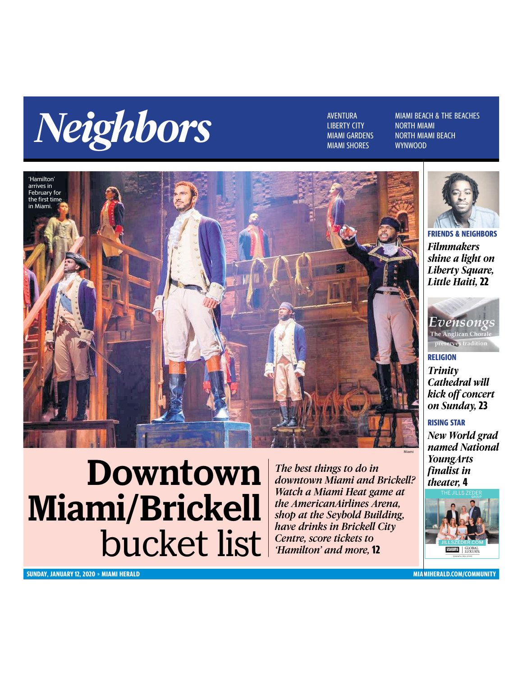

**MIAMI SHORES** 

**NORTH MIAMI NORTH MIAMI BEACH** 



Downtown

bucket list

Miami/Brickell



*Filmmakers shine a light on Liberty Square, Little Haiti,* **22 FRIENDS & NEIGHBORS**



*Trinity Cathedral will kick off concert on Sunday,* **23 RELIGION**

### **RISING STAR**

Miami

*New World grad named National YoungArts finalist in theater,* **4**



**SUNDAY, JANUARY 12, 2020** » **MIAMI HERALD MIAMIHERALD.COM/COMMUNITY**

*The best things to do in downtown Miami and Brickell? Watch a Miami Heat game at the AmericanAirlines Arena, shop at the Seybold Building, have drinks in Brickell City Centre, score tickets to 'Hamilton' and more,* **12**